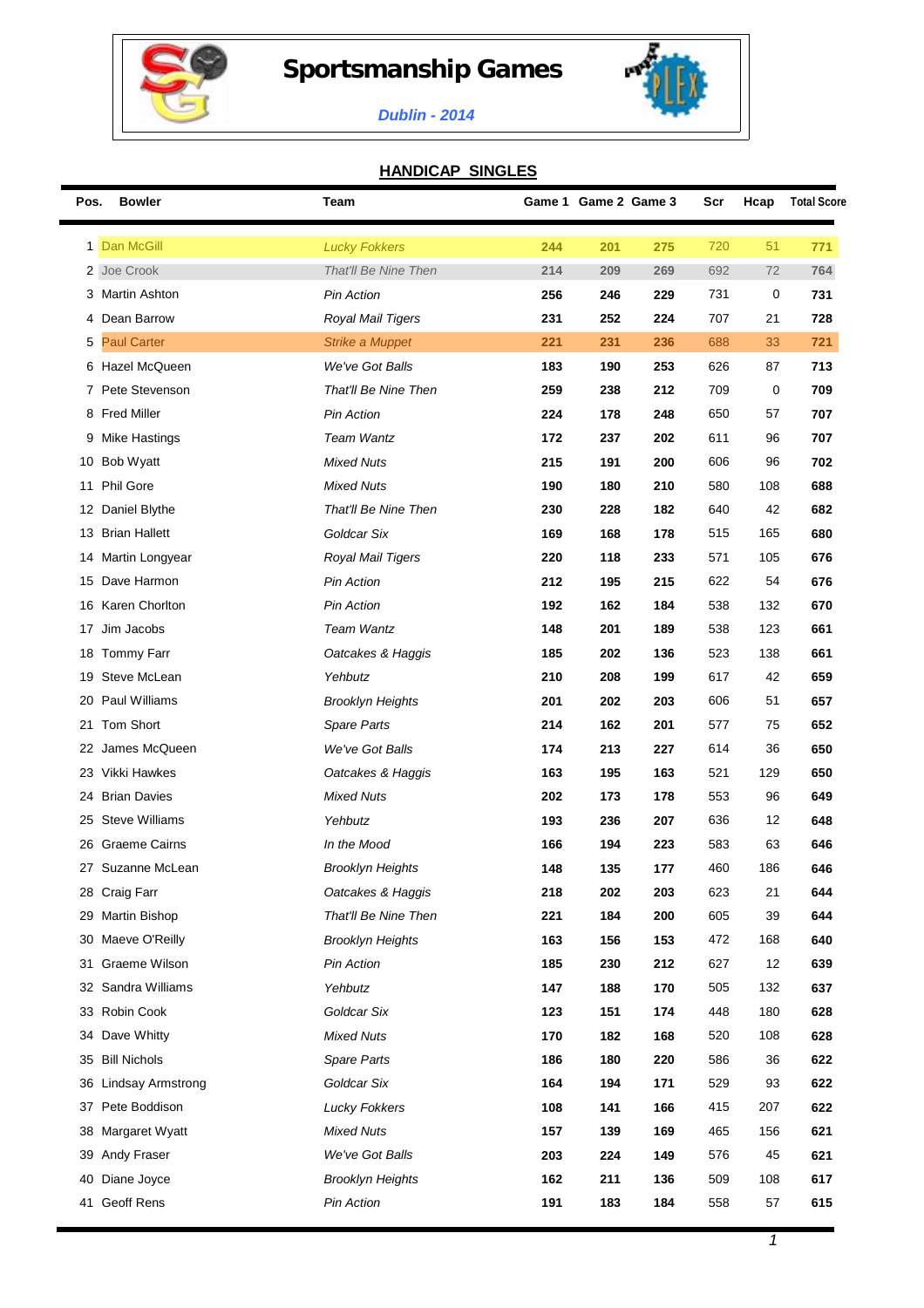

## **Sportsmanship Games**



## *Dublin - 2014*

## **HANDICAP SINGLES**

| Pos. | <b>Bowler</b>            | Team                    |     | Game 1 Game 2 Game 3 |     | Scr | Hcap | <b>Total Score</b> |
|------|--------------------------|-------------------------|-----|----------------------|-----|-----|------|--------------------|
|      | 1 Dan McGill             | <b>Lucky Fokkers</b>    | 244 | 201                  | 275 | 720 | 51   | 771                |
|      | 2 Joe Crook              | That'll Be Nine Then    | 214 | 209                  | 269 | 692 | 72   | 764                |
| 3    | <b>Martin Ashton</b>     | <b>Pin Action</b>       | 256 | 246                  | 229 | 731 | 0    | 731                |
| 4    | Dean Barrow              | Royal Mail Tigers       | 231 | 252                  | 224 | 707 | 21   | 728                |
| 5    | <b>Paul Carter</b>       | <b>Strike a Muppet</b>  | 221 | 231                  | 236 | 688 | 33   | 721                |
| 6    | Hazel McQueen            | We've Got Balls         | 183 | 190                  | 253 | 626 | 87   | 713                |
|      | 7 Pete Stevenson         | That'll Be Nine Then    | 259 | 238                  | 212 | 709 | 0    | 709                |
|      | 8 Fred Miller            | <b>Pin Action</b>       | 224 | 178                  | 248 | 650 | 57   | 707                |
| 9    | Mike Hastings            | <b>Team Wantz</b>       | 172 | 237                  | 202 | 611 | 96   | 707                |
|      | 10 Bob Wyatt             | <b>Mixed Nuts</b>       | 215 | 191                  | 200 | 606 | 96   | 702                |
| 11   | <b>Phil Gore</b>         | <b>Mixed Nuts</b>       | 190 | 180                  | 210 | 580 | 108  | 688                |
|      | 12 Daniel Blythe         | That'll Be Nine Then    | 230 | 228                  | 182 | 640 | 42   | 682                |
| 13   | <b>Brian Hallett</b>     | Goldcar Six             | 169 | 168                  | 178 | 515 | 165  | 680                |
| 14   | Martin Longyear          | Royal Mail Tigers       | 220 | 118                  | 233 | 571 | 105  | 676                |
| 15   | Dave Harmon              | <b>Pin Action</b>       | 212 | 195                  | 215 | 622 | 54   | 676                |
| 16   | Karen Chorlton           | <b>Pin Action</b>       | 192 | 162                  | 184 | 538 | 132  | 670                |
| 17   | Jim Jacobs               | <b>Team Wantz</b>       | 148 | 201                  | 189 | 538 | 123  | 661                |
| 18   | Tommy Farr               | Oatcakes & Haggis       | 185 | 202                  | 136 | 523 | 138  | 661                |
| 19   | Steve McLean             | Yehbutz                 | 210 | 208                  | 199 | 617 | 42   | 659                |
| 20   | Paul Williams            | <b>Brooklyn Heights</b> | 201 | 202                  | 203 | 606 | 51   | 657                |
| 21   | Tom Short                | Spare Parts             | 214 | 162                  | 201 | 577 | 75   | 652                |
| 22   | James McQueen            | We've Got Balls         | 174 | 213                  | 227 | 614 | 36   | 650                |
|      | 23 Vikki Hawkes          | Oatcakes & Haggis       | 163 | 195                  | 163 | 521 | 129  | 650                |
| 24   | <b>Brian Davies</b>      | <b>Mixed Nuts</b>       | 202 | 173                  | 178 | 553 | 96   | 649                |
| 25   | <b>Steve Williams</b>    | Yehbutz                 | 193 | 236                  | 207 | 636 | 12   | 648                |
| 26   | <b>Graeme Cairns</b>     | In the Mood             | 166 | 194                  | 223 | 583 | 63   | 646                |
|      | 27 Suzanne McLean        | <b>Brooklyn Heights</b> | 148 | 135                  | 177 | 460 | 186  | 646                |
|      | 28 Craig Farr            | Oatcakes & Haggis       | 218 | 202                  | 203 | 623 | 21   | 644                |
| 29   | <b>Martin Bishop</b>     | That'll Be Nine Then    | 221 | 184                  | 200 | 605 | 39   | 644                |
| 30   | Maeve O'Reilly           | <b>Brooklyn Heights</b> | 163 | 156                  | 153 | 472 | 168  | 640                |
| 31   | Graeme Wilson            | <b>Pin Action</b>       | 185 | 230                  | 212 | 627 | 12   | 639                |
| 32   | Sandra Williams          | Yehbutz                 | 147 | 188                  | 170 | 505 | 132  | 637                |
|      | 33 Robin Cook            | Goldcar Six             | 123 | 151                  | 174 | 448 | 180  | 628                |
| 34   | Dave Whitty              | <b>Mixed Nuts</b>       | 170 | 182                  | 168 | 520 | 108  | 628                |
| 35   | <b>Bill Nichols</b>      | Spare Parts             | 186 | 180                  | 220 | 586 | 36   | 622                |
| 36   | <b>Lindsay Armstrong</b> | Goldcar Six             | 164 | 194                  | 171 | 529 | 93   | 622                |
| 37   | Pete Boddison            | <b>Lucky Fokkers</b>    | 108 | 141                  | 166 | 415 | 207  | 622                |
| 38   | Margaret Wyatt           | <b>Mixed Nuts</b>       | 157 | 139                  | 169 | 465 | 156  | 621                |
| 39   | Andy Fraser              | We've Got Balls         | 203 | 224                  | 149 | 576 | 45   | 621                |
| 40   | Diane Joyce              | <b>Brooklyn Heights</b> | 162 | 211                  | 136 | 509 | 108  | 617                |
|      | 41 Geoff Rens            | <b>Pin Action</b>       | 191 | 183                  | 184 | 558 | 57   | 615                |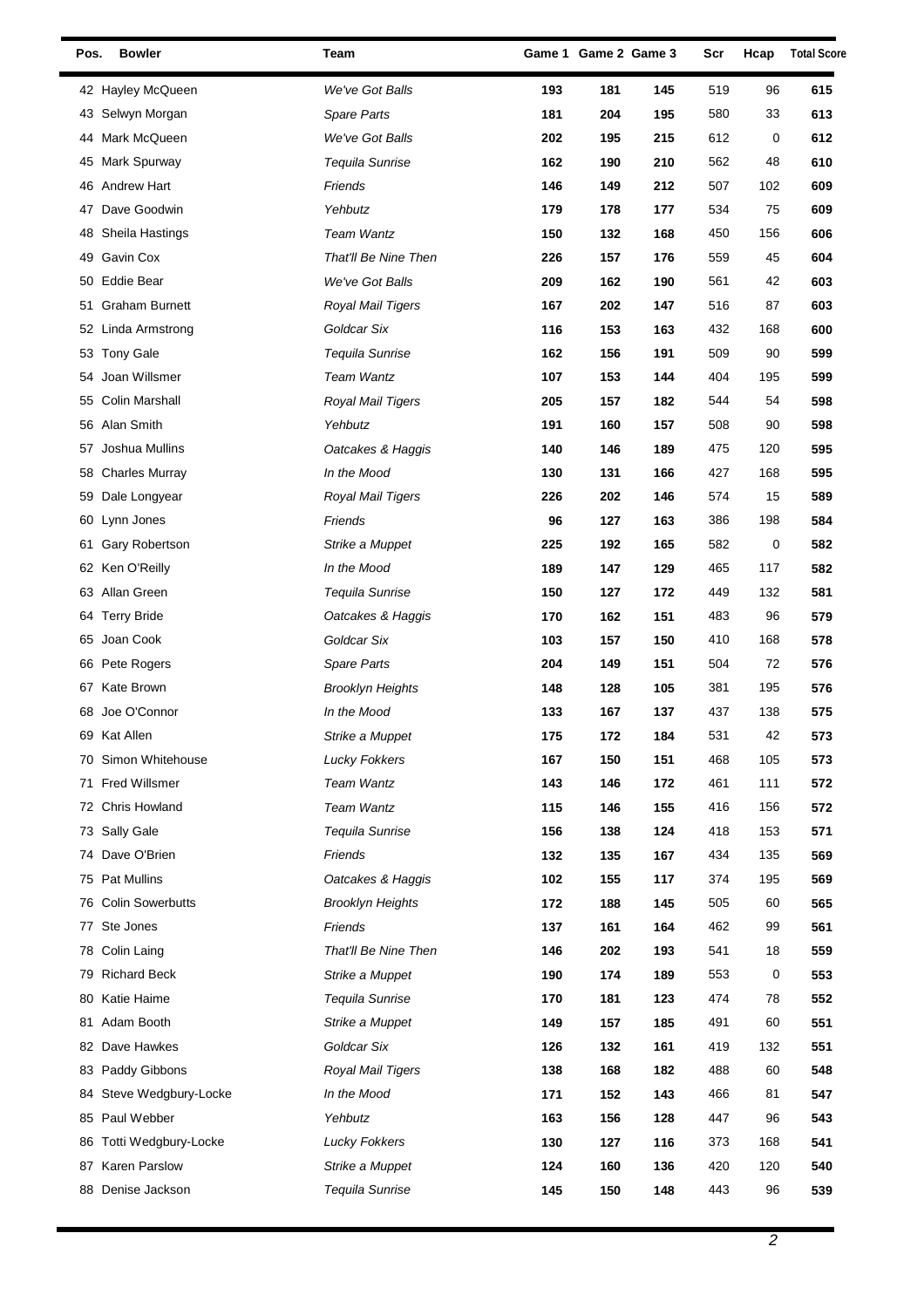| Pos. | <b>Bowler</b>         | Team                    |     | Game 1 Game 2 Game 3 |     | Scr | Hcap | <b>Total Score</b> |
|------|-----------------------|-------------------------|-----|----------------------|-----|-----|------|--------------------|
|      | 42 Hayley McQueen     | We've Got Balls         | 193 | 181                  | 145 | 519 | 96   | 615                |
|      | 43 Selwyn Morgan      | Spare Parts             | 181 | 204                  | 195 | 580 | 33   | 613                |
| 44   | Mark McQueen          | We've Got Balls         | 202 | 195                  | 215 | 612 | 0    | 612                |
| 45   | Mark Spurway          | Tequila Sunrise         | 162 | 190                  | 210 | 562 | 48   | 610                |
|      | 46 Andrew Hart        | Friends                 | 146 | 149                  | 212 | 507 | 102  | 609                |
| 47   | Dave Goodwin          | Yehbutz                 | 179 | 178                  | 177 | 534 | 75   | 609                |
| 48   | Sheila Hastings       | Team Wantz              | 150 | 132                  | 168 | 450 | 156  | 606                |
| 49   | Gavin Cox             | That'll Be Nine Then    | 226 | 157                  | 176 | 559 | 45   | 604                |
| 50   | Eddie Bear            | We've Got Balls         | 209 | 162                  | 190 | 561 | 42   | 603                |
| 51   | <b>Graham Burnett</b> | Royal Mail Tigers       | 167 | 202                  | 147 | 516 | 87   | 603                |
|      | 52 Linda Armstrong    | Goldcar Six             | 116 | 153                  | 163 | 432 | 168  | 600                |
|      | 53 Tony Gale          | Tequila Sunrise         | 162 | 156                  | 191 | 509 | 90   | 599                |
| 54   | Joan Willsmer         | Team Wantz              | 107 | 153                  | 144 | 404 | 195  | 599                |
|      | 55 Colin Marshall     | Royal Mail Tigers       | 205 | 157                  | 182 | 544 | 54   | 598                |
|      | 56 Alan Smith         | Yehbutz                 | 191 | 160                  | 157 | 508 | 90   | 598                |
| 57   | Joshua Mullins        | Oatcakes & Haggis       | 140 | 146                  | 189 | 475 | 120  | 595                |
|      | 58 Charles Murray     | In the Mood             | 130 | 131                  | 166 | 427 | 168  | 595                |
| 59   | Dale Longyear         | Royal Mail Tigers       | 226 | 202                  | 146 | 574 | 15   | 589                |
|      | 60 Lynn Jones         | Friends                 | 96  | 127                  | 163 | 386 | 198  | 584                |
| 61   | Gary Robertson        | Strike a Muppet         | 225 | 192                  | 165 | 582 | 0    | 582                |
|      | 62 Ken O'Reilly       | In the Mood             | 189 | 147                  | 129 | 465 | 117  | 582                |
| 63   | Allan Green           | Tequila Sunrise         | 150 | 127                  | 172 | 449 | 132  | 581                |
| 64   | <b>Terry Bride</b>    | Oatcakes & Haggis       | 170 | 162                  | 151 | 483 | 96   | 579                |
| 65   | Joan Cook             | Goldcar Six             | 103 | 157                  | 150 | 410 | 168  | 578                |
|      | 66 Pete Rogers        | Spare Parts             | 204 | 149                  | 151 | 504 | 72   | 576                |
|      | 67 Kate Brown         | <b>Brooklyn Heights</b> | 148 | 128                  | 105 | 381 | 195  | 576                |
| 68   | Joe O'Connor          | In the Mood             | 133 | 167                  | 137 | 437 | 138  | 575                |
|      | 69 Kat Allen          | Strike a Muppet         | 175 | 172                  | 184 | 531 | 42   | 573                |
|      | 70 Simon Whitehouse   | <b>Lucky Fokkers</b>    | 167 | 150                  | 151 | 468 | 105  | 573                |
| 71   | <b>Fred Willsmer</b>  | Team Wantz              | 143 | 146                  | 172 | 461 | 111  | 572                |
|      | 72 Chris Howland      | Team Wantz              | 115 | 146                  | 155 | 416 | 156  | 572                |
|      | 73 Sally Gale         | Tequila Sunrise         | 156 | 138                  | 124 | 418 | 153  | 571                |
|      | 74 Dave O'Brien       | Friends                 | 132 | 135                  | 167 | 434 | 135  | 569                |
| 75   | <b>Pat Mullins</b>    | Oatcakes & Haggis       | 102 | 155                  | 117 | 374 | 195  | 569                |
|      | 76 Colin Sowerbutts   | <b>Brooklyn Heights</b> | 172 | 188                  | 145 | 505 | 60   | 565                |
| 77   | Ste Jones             | Friends                 | 137 | 161                  | 164 | 462 | 99   | 561                |
|      | 78 Colin Laing        | That'll Be Nine Then    | 146 | 202                  | 193 | 541 | 18   | 559                |
| 79   | <b>Richard Beck</b>   | Strike a Muppet         | 190 | 174                  | 189 | 553 | 0    | 553                |
| 80   | Katie Haime           | Tequila Sunrise         | 170 | 181                  | 123 | 474 | 78   | 552                |
| 81   | Adam Booth            | Strike a Muppet         | 149 | 157                  | 185 | 491 | 60   | 551                |
|      | 82 Dave Hawkes        | Goldcar Six             | 126 | 132                  | 161 | 419 | 132  | 551                |
|      | 83 Paddy Gibbons      | Royal Mail Tigers       | 138 | 168                  | 182 | 488 | 60   | 548                |
| 84   | Steve Wedgbury-Locke  | In the Mood             | 171 | 152                  | 143 | 466 | 81   | 547                |
|      | 85 Paul Webber        | Yehbutz                 | 163 | 156                  | 128 | 447 | 96   | 543                |
| 86   | Totti Wedgbury-Locke  | <b>Lucky Fokkers</b>    | 130 | 127                  | 116 | 373 | 168  | 541                |
| 87   | <b>Karen Parslow</b>  | Strike a Muppet         | 124 | 160                  | 136 | 420 | 120  | 540                |
|      | 88 Denise Jackson     | Tequila Sunrise         | 145 | 150                  | 148 | 443 | 96   | 539                |